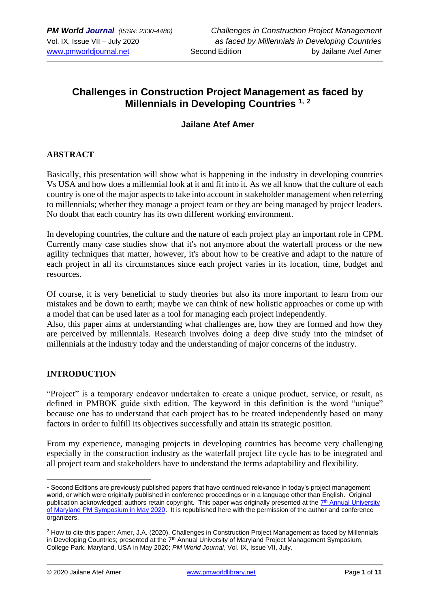# **Challenges in Construction Project Management as faced by Millennials in Developing Countries 1, <sup>2</sup>**

# **Jailane Atef Amer**

# **ABSTRACT**

Basically, this presentation will show what is happening in the industry in developing countries Vs USA and how does a millennial look at it and fit into it. As we all know that the culture of each country is one of the major aspects to take into account in stakeholder management when referring to millennials; whether they manage a project team or they are being managed by project leaders. No doubt that each country has its own different working environment.

In developing countries, the culture and the nature of each project play an important role in CPM. Currently many case studies show that it's not anymore about the waterfall process or the new agility techniques that matter, however, it's about how to be creative and adapt to the nature of each project in all its circumstances since each project varies in its location, time, budget and resources.

Of course, it is very beneficial to study theories but also its more important to learn from our mistakes and be down to earth; maybe we can think of new holistic approaches or come up with a model that can be used later as a tool for managing each project independently.

Also, this paper aims at understanding what challenges are, how they are formed and how they are perceived by millennials. Research involves doing a deep dive study into the mindset of millennials at the industry today and the understanding of major concerns of the industry.

### **INTRODUCTION**

"Project" is a temporary endeavor undertaken to create a unique product, service, or result, as defined in PMBOK guide sixth edition. The keyword in this definition is the word "unique" because one has to understand that each project has to be treated independently based on many factors in order to fulfill its objectives successfully and attain its strategic position.

From my experience, managing projects in developing countries has become very challenging especially in the construction industry as the waterfall project life cycle has to be integrated and all project team and stakeholders have to understand the terms adaptability and flexibility.

<sup>1</sup> Second Editions are previously published papers that have continued relevance in today's project management world, or which were originally published in conference proceedings or in a language other than English. Original publication acknowledged; authors retain copyright. This paper was originally presented at the T<sup>th</sup> Annual University [of Maryland PM Symposium in May 2020.](https://pmsymposium.umd.edu/pm2020/) It is republished here with the permission of the author and conference organizers.

<sup>2</sup> How to cite this paper: Amer, J.A. (2020). Challenges in Construction Project Management as faced by Millennials in Developing Countries; presented at the 7<sup>th</sup> Annual University of Maryland Project Management Symposium, College Park, Maryland, USA in May 2020; *PM World Journal*, Vol. IX, Issue VII, July.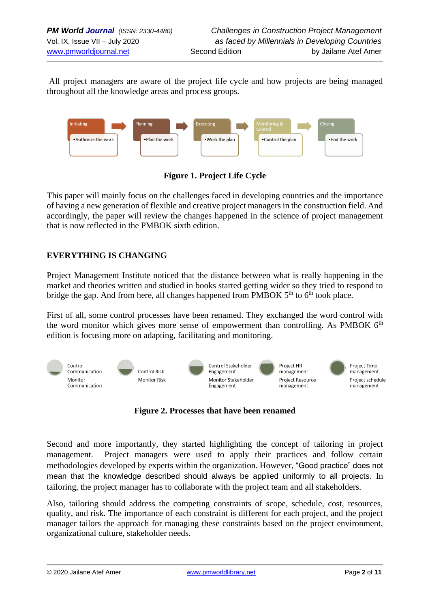All project managers are aware of the project life cycle and how projects are being managed throughout all the knowledge areas and process groups.



**Figure 1. Project Life Cycle**

This paper will mainly focus on the challenges faced in developing countries and the importance of having a new generation of flexible and creative project managers in the construction field. And accordingly, the paper will review the changes happened in the science of project management that is now reflected in the PMBOK sixth edition.

# **EVERYTHING IS CHANGING**

Project Management Institute noticed that the distance between what is really happening in the market and theories written and studied in books started getting wider so they tried to respond to bridge the gap. And from here, all changes happened from PMBOK  $5<sup>th</sup>$  to  $6<sup>th</sup>$  took place.

First of all, some control processes have been renamed. They exchanged the word control with the word monitor which gives more sense of empowerment than controlling. As PMBOK  $6<sup>th</sup>$ edition is focusing more on adapting, facilitating and monitoring.



**Figure 2. Processes that have been renamed**

Second and more importantly, they started highlighting the concept of tailoring in project management. Project managers were used to apply their practices and follow certain methodologies developed by experts within the organization. However, "Good practice" does not mean that the knowledge described should always be applied uniformly to all projects. In tailoring, the project manager has to collaborate with the project team and all stakeholders.

Also, tailoring should address the competing constraints of scope, schedule, cost, resources, quality, and risk. The importance of each constraint is different for each project, and the project manager tailors the approach for managing these constraints based on the project environment, organizational culture, stakeholder needs.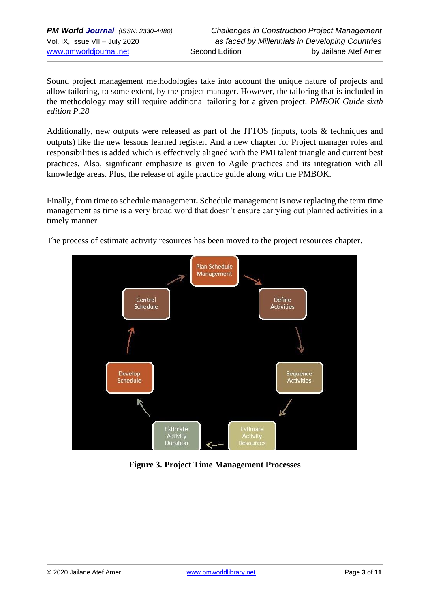Sound project management methodologies take into account the unique nature of projects and allow tailoring, to some extent, by the project manager. However, the tailoring that is included in the methodology may still require additional tailoring for a given project. *PMBOK Guide sixth edition P.28*

Additionally, new outputs were released as part of the ITTOS (inputs, tools & techniques and outputs) like the new lessons learned register. And a new chapter for Project manager roles and responsibilities is added which is effectively aligned with the PMI talent triangle and current best practices. Also, significant emphasize is given to Agile practices and its integration with all knowledge areas. Plus, the release of agile practice guide along with the PMBOK.

Finally, from time to schedule management**.** Schedule management is now replacing the term time management as time is a very broad word that doesn't ensure carrying out planned activities in a timely manner.

The process of estimate activity resources has been moved to the project resources chapter.



**Figure 3. Project Time Management Processes**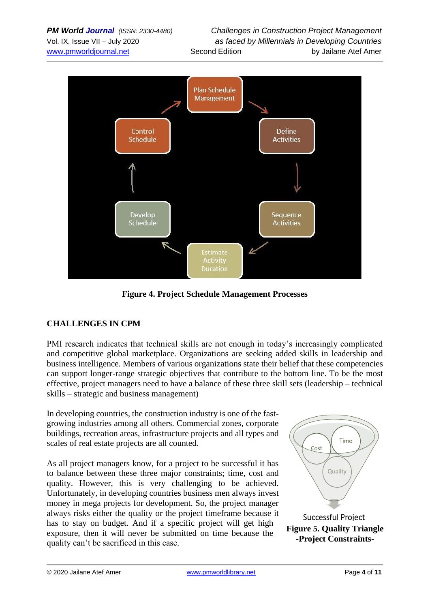

**Figure 4. Project Schedule Management Processes**

# **CHALLENGES IN CPM**

PMI research indicates that technical skills are not enough in today's increasingly complicated and competitive global marketplace. Organizations are seeking added skills in leadership and business intelligence. Members of various organizations state their belief that these competencies can support longer-range strategic objectives that contribute to the bottom line. To be the most effective, project managers need to have a balance of these three skill sets (leadership – technical skills – strategic and business management)

In developing countries, the construction industry is one of the fastgrowing industries among all others. Commercial zones, corporate buildings, recreation areas, infrastructure projects and all types and scales of real estate projects are all counted.

As all project managers know, for a project to be successful it has to balance between these three major constraints; time, cost and quality. However, this is very challenging to be achieved. Unfortunately, in developing countries business men always invest money in mega projects for development. So, the project manager always risks either the quality or the project timeframe because it has to stay on budget. And if a specific project will get high exposure, then it will never be submitted on time because the quality can't be sacrificed in this case.

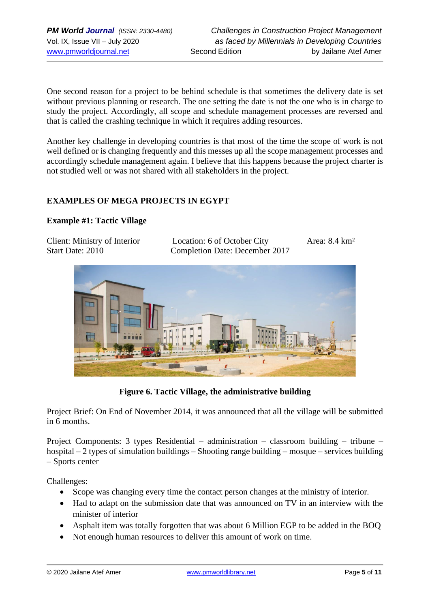One second reason for a project to be behind schedule is that sometimes the delivery date is set without previous planning or research. The one setting the date is not the one who is in charge to study the project. Accordingly, all scope and schedule management processes are reversed and that is called the crashing technique in which it requires adding resources.

Another key challenge in developing countries is that most of the time the scope of work is not well defined or is changing frequently and this messes up all the scope management processes and accordingly schedule management again. I believe that this happens because the project charter is not studied well or was not shared with all stakeholders in the project.

### **EXAMPLES OF MEGA PROJECTS IN EGYPT**

### **Example #1: Tactic Village**

| Client: Ministry of Interior | Location: 6 of October City    | Area: $8.4 \text{ km}^2$ |
|------------------------------|--------------------------------|--------------------------|
| Start Date: 2010             | Completion Date: December 2017 |                          |



**Figure 6. Tactic Village, the administrative building**

Project Brief: On End of November 2014, it was announced that all the village will be submitted in 6 months.

Project Components: 3 types Residential – administration – classroom building – tribune – hospital – 2 types of simulation buildings – Shooting range building – mosque – services building – Sports center

Challenges:

- Scope was changing every time the contact person changes at the ministry of interior.
- Had to adapt on the submission date that was announced on TV in an interview with the minister of interior
- Asphalt item was totally forgotten that was about 6 Million EGP to be added in the BOQ
- Not enough human resources to deliver this amount of work on time.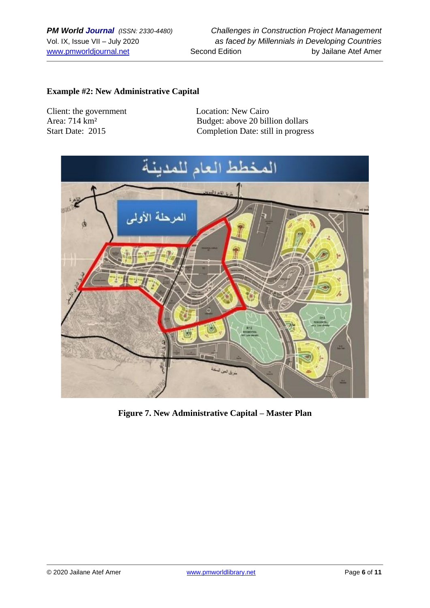## **Example #2: New Administrative Capital**

Client: the government Location: New Cairo

Area: 714 km<sup>2</sup><br>Start Date: 2015<br>Completion Date: still in progres Completion Date: still in progress



**Figure 7. New Administrative Capital – Master Plan**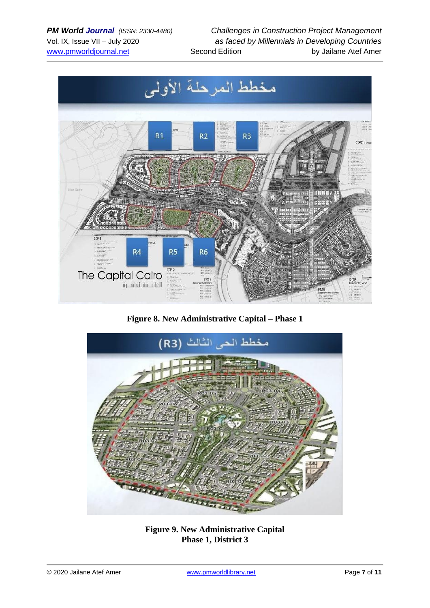

**Figure 8. New Administrative Capital – Phase 1**



**Figure 9. New Administrative Capital Phase 1, District 3**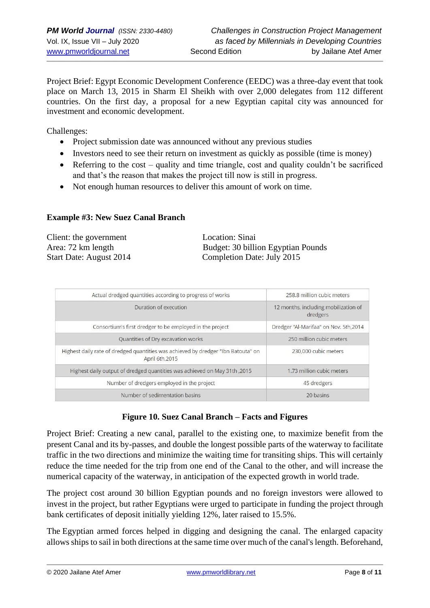Project Brief: Egypt Economic Development Conference (EEDC) was a three-day event that took place on March 13, 2015 in [Sharm El Sheikh](https://en.wikipedia.org/wiki/Sharm_El_Sheikh) with over 2,000 delegates from 112 different countries. On the first day, a proposal for a [new Egyptian capital city](https://en.wikipedia.org/wiki/Proposed_new_capital_of_Egypt) was announced for investment and economic development.

Challenges:

- Project submission date was announced without any previous studies
- Investors need to see their return on investment as quickly as possible (time is money)
- Referring to the cost quality and time triangle, cost and quality couldn't be sacrificed and that's the reason that makes the project till now is still in progress.
- Not enough human resources to deliver this amount of work on time.

### **Example #3: New Suez Canal Branch**

| Client: the government  | Location: Sinai                    |
|-------------------------|------------------------------------|
| Area: 72 km length      | Budget: 30 billion Egyptian Pounds |
| Start Date: August 2014 | Completion Date: July 2015         |

| Actual dredged quantities according to progress of works                                             | 258.8 million cubic meters                       |
|------------------------------------------------------------------------------------------------------|--------------------------------------------------|
| Duration of execution                                                                                | 12 months, including mobilization of<br>dredgers |
| Consortium's first dredger to be employed in the project                                             | Dredger "Al-Marifaa" on Nov. 5th,2014            |
| Quantities of Dry excavation works                                                                   | 250 million cubic meters                         |
| Highest daily rate of dredged quantities was achieved by dredger "Ibn Batouta" on<br>April 6th, 2015 | 230,000 cubic meters                             |
| Highest daily output of dredged quantities was achieved on May 31th, 2015                            | 1.73 million cubic meters                        |
| Number of dredgers employed in the project                                                           | 45 dredgers                                      |
| Number of sedimentation basins                                                                       | 20 basins                                        |

# **Figure 10. Suez Canal Branch – Facts and Figures**

Project Brief: Creating a new canal, parallel to the existing one, to maximize benefit from the present Canal and its by-passes, and double the longest possible parts of the waterway to facilitate traffic in the two directions and minimize the waiting time for transiting ships. This will certainly reduce the time needed for the trip from one end of the Canal to the other, and will increase the numerical capacity of the waterway, in anticipation of the expected growth in world trade.

The project cost around 30 billion Egyptian pounds and no foreign investors were allowed to invest in the project, but rather Egyptians were urged to participate in funding the project through bank certificates of deposit initially yielding 12%, later raised to 15.5%.

The Egyptian armed forces helped in digging and designing the canal. The enlarged capacity allows ships to sail in both directions at the same time over much of the canal's length. Beforehand,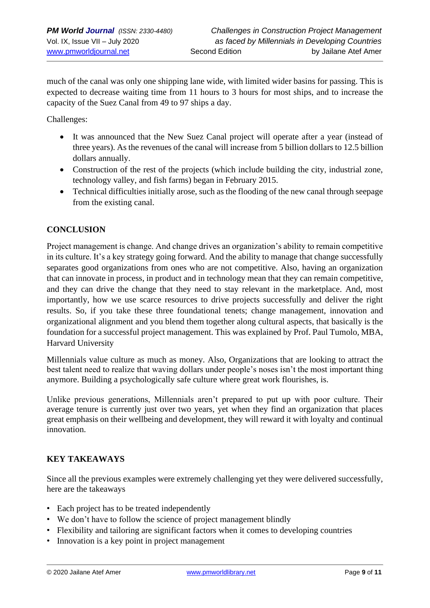much of the canal was only one shipping lane wide, with limited wider basins for passing. This is expected to decrease waiting time from 11 hours to 3 hours for most ships, and to increase the capacity of the Suez Canal from 49 to 97 ships a day.

Challenges:

- It was announced that the New Suez Canal project will operate after a year (instead of three years). As the revenues of the canal will increase from 5 billion dollars to 12.5 billion dollars annually.
- Construction of the rest of the projects (which include building the city, industrial zone, technology valley, and fish farms) began in February 2015.
- Technical difficulties initially arose, such as the flooding of the new canal through seepage from the existing canal.

# **CONCLUSION**

Project management is change. And change drives an organization's ability to remain competitive in its culture. It's a key strategy going forward. And the ability to manage that change successfully separates good organizations from ones who are not competitive. Also, having an organization that can innovate in process, in product and in technology mean that they can remain competitive, and they can drive the change that they need to stay relevant in the marketplace. And, most importantly, how we use scarce resources to drive projects successfully and deliver the right results. So, if you take these three foundational tenets; change management, innovation and organizational alignment and you blend them together along cultural aspects, that basically is the foundation for a successful project management. This was explained by Prof. Paul Tumolo, MBA, Harvard University

Millennials value culture as much as money. Also, Organizations that are looking to attract the best talent need to realize that waving dollars under people's noses isn't the most important thing anymore. Building a psychologically safe culture where great work flourishes, is.

Unlike previous generations, Millennials aren't prepared to put up with poor culture. Their average tenure is currently just over two years, yet when they find an organization that places great emphasis on their wellbeing and development, they will reward it with loyalty and continual innovation.

### **KEY TAKEAWAYS**

Since all the previous examples were extremely challenging yet they were delivered successfully, here are the takeaways

- Each project has to be treated independently
- We don't have to follow the science of project management blindly
- Flexibility and tailoring are significant factors when it comes to developing countries
- Innovation is a key point in project management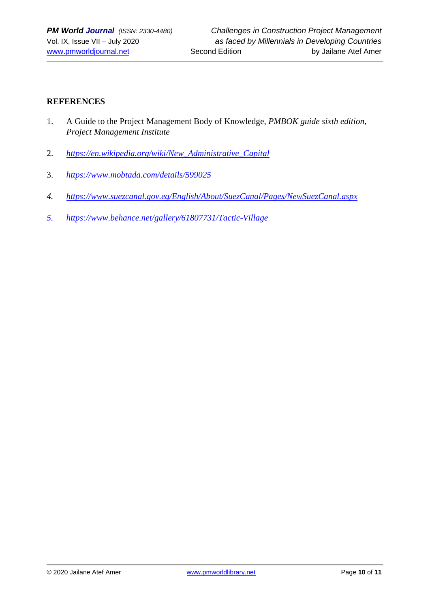# **REFERENCES**

- 1. A Guide to the Project Management Body of Knowledge, *PMBOK guide sixth edition, Project Management Institute*
- 2. *[https://en.wikipedia.org/wiki/New\\_Administrative\\_Capital](https://en.wikipedia.org/wiki/New_Administrative_Capital)*
- 3. *<https://www.mobtada.com/details/599025>*
- *4. <https://www.suezcanal.gov.eg/English/About/SuezCanal/Pages/NewSuezCanal.aspx>*
- *5. <https://www.behance.net/gallery/61807731/Tactic-Village>*